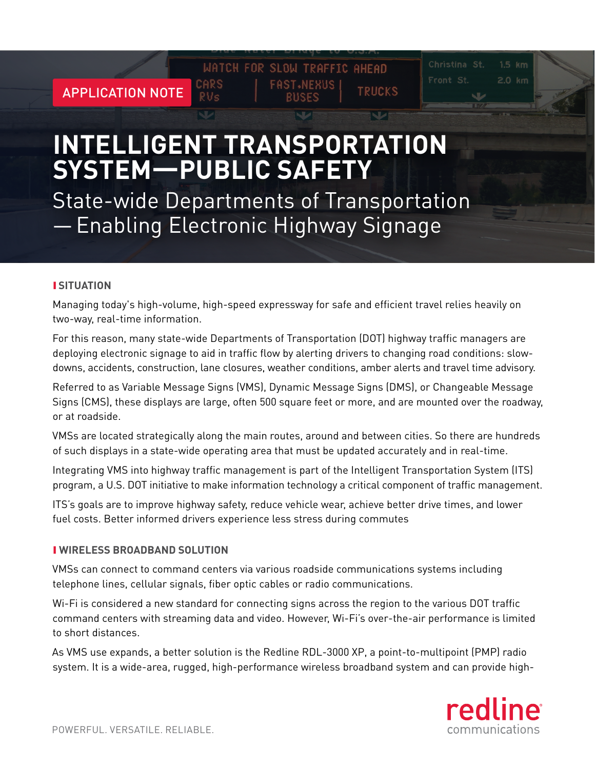# **INTELLIGENT TRANSPORTATION SYSTEM—PUBLIC SAFETY**

State-wide Departments of Transportation —Enabling Electronic Highway Signage

### ❙ **SITUATION**

APPLICATION NOTE

Managing today's high-volume, high-speed expressway for safe and efficient travel relies heavily on two-way, real-time information.

WATCH FOR SLOW TRAFFIC AHEAD

**FAST NEXUS** 

**TRUCKS** 

For this reason, many state-wide Departments of Transportation (DOT) highway traffic managers are deploying electronic signage to aid in traffic flow by alerting drivers to changing road conditions: slowdowns, accidents, construction, lane closures, weather conditions, amber alerts and travel time advisory.

Referred to as Variable Message Signs (VMS), Dynamic Message Signs (DMS), or Changeable Message Signs (CMS), these displays are large, often 500 square feet or more, and are mounted over the roadway, or at roadside.

VMSs are located strategically along the main routes, around and between cities. So there are hundreds of such displays in a state-wide operating area that must be updated accurately and in real-time.

Integrating VMS into highway traffic management is part of the Intelligent Transportation System (ITS) program, a U.S. DOT initiative to make information technology a critical component of traffic management.

ITS's goals are to improve highway safety, reduce vehicle wear, achieve better drive times, and lower fuel costs. Better informed drivers experience less stress during commutes

### ❙ **WIRELESS BROADBAND SOLUTION**

VMSs can connect to command centers via various roadside communications systems including telephone lines, cellular signals, fiber optic cables or radio communications.

Wi-Fi is considered a new standard for connecting signs across the region to the various DOT traffic command centers with streaming data and video. However, Wi-Fi's over-the-air performance is limited to short distances.

As VMS use expands, a better solution is the Redline RDL-3000 XP, a point-to-multipoint (PMP) radio system. It is a wide-area, rugged, high-performance wireless broadband system and can provide high-



2.0 km